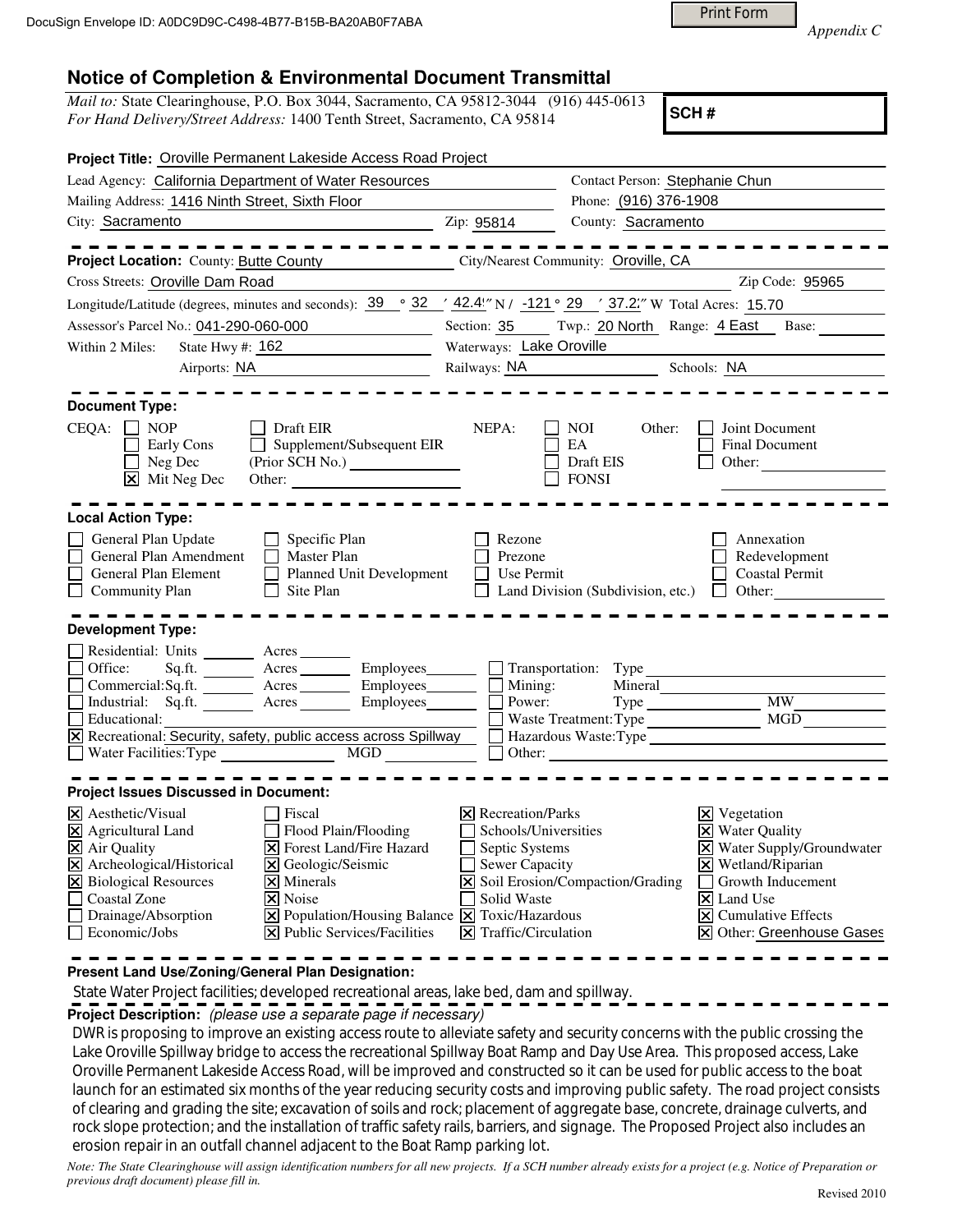Print Form

*Appendix C* 

## **Notice of Completion & Environmental Document Transmittal**

*Mail to:* State Clearinghouse, P.O. Box 3044, Sacramento, CA 95812-3044 (916) 445-0613 *For Hand Delivery/Street Address:* 1400 Tenth Street, Sacramento, CA 95814

**SCH #**

| Project Title: Oroville Permanent Lakeside Access Road Project                                                                                                                                                                                                                                                                                                                                                                                                                                                                                                                  |                                                                                                                                          |                                                                     |                                                                                                                                                                                                                                                      |
|---------------------------------------------------------------------------------------------------------------------------------------------------------------------------------------------------------------------------------------------------------------------------------------------------------------------------------------------------------------------------------------------------------------------------------------------------------------------------------------------------------------------------------------------------------------------------------|------------------------------------------------------------------------------------------------------------------------------------------|---------------------------------------------------------------------|------------------------------------------------------------------------------------------------------------------------------------------------------------------------------------------------------------------------------------------------------|
| Lead Agency: California Department of Water Resources                                                                                                                                                                                                                                                                                                                                                                                                                                                                                                                           |                                                                                                                                          | Contact Person: Stephanie Chun                                      |                                                                                                                                                                                                                                                      |
| Mailing Address: 1416 Ninth Street, Sixth Floor                                                                                                                                                                                                                                                                                                                                                                                                                                                                                                                                 |                                                                                                                                          | Phone: (916) 376-1908                                               |                                                                                                                                                                                                                                                      |
| City: Sacramento                                                                                                                                                                                                                                                                                                                                                                                                                                                                                                                                                                | Zip: 95814                                                                                                                               | County: Sacramento                                                  |                                                                                                                                                                                                                                                      |
| Project Location: County: Butte County<br>Cross Streets: Oroville Dam Road                                                                                                                                                                                                                                                                                                                                                                                                                                                                                                      |                                                                                                                                          | City/Nearest Community: Oroville, CA                                | Zip Code: 95965                                                                                                                                                                                                                                      |
| Longitude/Latitude (degrees, minutes and seconds): $\frac{39}{9}$ $\frac{32}{42.4!}$ N/ -121 $\degree$ 29 $\degree$ 37.2" W Total Acres: 15.70                                                                                                                                                                                                                                                                                                                                                                                                                                  |                                                                                                                                          |                                                                     |                                                                                                                                                                                                                                                      |
| Assessor's Parcel No.: 041-290-060-000                                                                                                                                                                                                                                                                                                                                                                                                                                                                                                                                          | Section: 35<br>Twp.: 20 North Range: 4 East Base:                                                                                        |                                                                     |                                                                                                                                                                                                                                                      |
| Within 2 Miles:<br>State Hwy #: 162                                                                                                                                                                                                                                                                                                                                                                                                                                                                                                                                             | Waterways: Lake Oroville                                                                                                                 |                                                                     |                                                                                                                                                                                                                                                      |
| Airports: NA                                                                                                                                                                                                                                                                                                                                                                                                                                                                                                                                                                    | Railways: NA Schools: NA                                                                                                                 |                                                                     |                                                                                                                                                                                                                                                      |
|                                                                                                                                                                                                                                                                                                                                                                                                                                                                                                                                                                                 |                                                                                                                                          |                                                                     |                                                                                                                                                                                                                                                      |
| <b>Document Type:</b><br>CEQA:<br>$\Box$ NOP<br>Draft EIR<br>Supplement/Subsequent EIR<br>Early Cons<br>Neg Dec<br>$\boxtimes$ Mit Neg Dec                                                                                                                                                                                                                                                                                                                                                                                                                                      | NEPA:                                                                                                                                    | NOI.<br>Other:<br>EA<br>Draft EIS<br><b>FONSI</b>                   | Joint Document<br>Final Document<br>Other:                                                                                                                                                                                                           |
| <b>Local Action Type:</b>                                                                                                                                                                                                                                                                                                                                                                                                                                                                                                                                                       |                                                                                                                                          |                                                                     |                                                                                                                                                                                                                                                      |
| Specific Plan<br>General Plan Update<br>П<br>General Plan Amendment<br><b>Master Plan</b><br>$\mathsf{L}$<br>Planned Unit Development<br>General Plan Element<br>Site Plan<br><b>Community Plan</b><br>П                                                                                                                                                                                                                                                                                                                                                                        | Rezone<br>Prezone<br>Use Permit                                                                                                          | Land Division (Subdivision, etc.)                                   | Annexation<br>Redevelopment<br><b>Coastal Permit</b><br>$\Box$ Other:                                                                                                                                                                                |
| <b>Development Type:</b>                                                                                                                                                                                                                                                                                                                                                                                                                                                                                                                                                        |                                                                                                                                          |                                                                     |                                                                                                                                                                                                                                                      |
| Residential: Units ________ Acres _____<br>Sq.ft. _________ Acres __________ Employees ________ __ Transportation: Type<br>Office:<br>Commercial:Sq.ft. <u>Acres</u> Acres Employees<br>Industrial: Sq.ft. Acres Employees<br>Educational:<br>X Recreational: Security, safety, public access across Spillway<br>$\Box$ Water Facilities: Type<br>MGD and the matrix of the matrix of the matrix of the matrix of the matrix of the matrix of the matrix of the matrix of the matrix of the matrix of the matrix of the matrix of the matrix of the matrix of the matrix of the | Mining:<br>Power:                                                                                                                        | Mineral<br>Waste Treatment: Type<br>Hazardous Waste: Type<br>Other: | Type MW<br>MGD                                                                                                                                                                                                                                       |
| <b>Project Issues Discussed in Document:</b>                                                                                                                                                                                                                                                                                                                                                                                                                                                                                                                                    |                                                                                                                                          |                                                                     |                                                                                                                                                                                                                                                      |
| X Aesthetic/Visual<br>Fiscal<br>X Agricultural Land<br>Flood Plain/Flooding<br><b>X</b> Forest Land/Fire Hazard<br>$\boxtimes$ Air Quality<br>X Archeological/Historical<br>X Geologic/Seismic<br>X Biological Resources<br>$\times$ Minerals<br>□ Coastal Zone<br>$\overline{\mathsf{x}}$ Noise<br>$\Box$ Drainage/Absorption<br>$\boxed{\mathbf{X}}$ Population/Housing Balance $\boxed{\mathbf{X}}$ Toxic/Hazardous<br>$\Box$ Economic/Jobs<br>$ \mathbf{\nabla} $ Public Services/Facilities                                                                                | $\times$ Recreation/Parks<br>Schools/Universities<br>Septic Systems<br><b>Sewer Capacity</b><br>Solid Waste<br>$\Xi$ Traffic/Circulation | $\triangleright$ Soil Erosion/Compaction/Grading                    | $\boxtimes$ Vegetation<br><b>X</b> Water Quality<br>X Water Supply/Groundwater<br>$\boxtimes$ Wetland/Riparian<br>Growth Inducement<br>$\overline{\mathsf{x}}$ Land Use<br>$ \mathbf{\overline{X}} $ Cumulative Effects<br>X Other: Greenhouse Gases |

**Present Land Use/Zoning/General Plan Designation:**

State Water Project facilities; developed recreational areas, lake bed, dam and spillway.

**Project Description:** (please use a separate page if necessary)

 DWR is proposing to improve an existing access route to alleviate safety and security concerns with the public crossing the Lake Oroville Spillway bridge to access the recreational Spillway Boat Ramp and Day Use Area. This proposed access, Lake Oroville Permanent Lakeside Access Road, will be improved and constructed so it can be used for public access to the boat launch for an estimated six months of the year reducing security costs and improving public safety. The road project consists of clearing and grading the site; excavation of soils and rock; placement of aggregate base, concrete, drainage culverts, and rock slope protection; and the installation of traffic safety rails, barriers, and signage. The Proposed Project also includes an erosion repair in an outfall channel adjacent to the Boat Ramp parking lot.

*Note: The State Clearinghouse will assign identification numbers for all new projects. If a SCH number already exists for a project (e.g. Notice of Preparation or previous draft document) please fill in.*